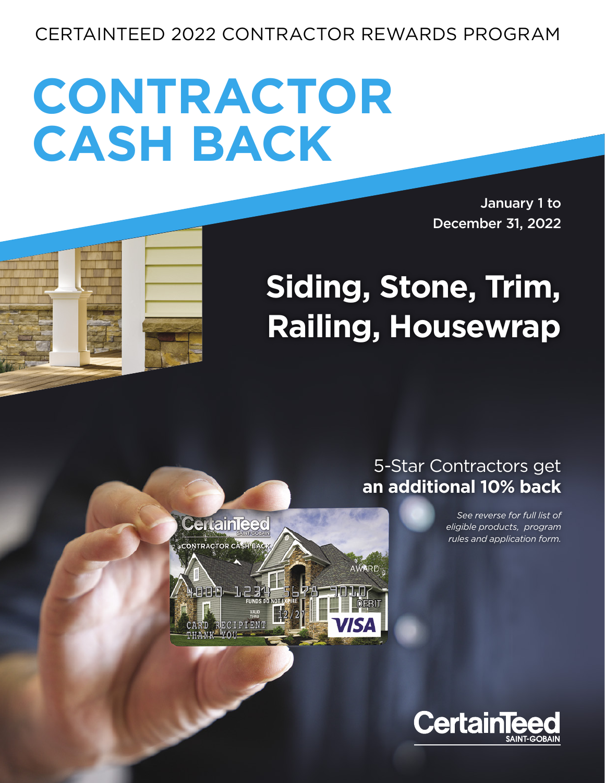## CERTAINTEED 2022 CONTRACTOR REWARDS PROGRAM

# **CONTRACTOR CASH BACK**

**CertainTeed** 

CONTRACTOR CASH BACK

January 1 to December 31, 2022

## **Siding, Stone, Trim, Railing, Housewrap**

## 5-Star Contractors get **an additional 10% back**

*See reverse for full list of eligible products, program rules and application form.*



**AWARD**